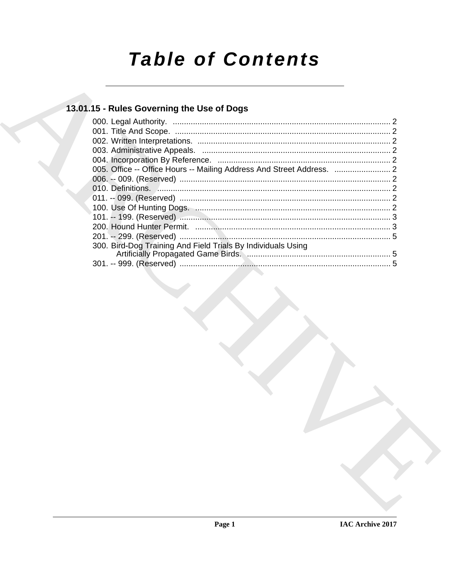# **Table of Contents**

# 13.01.15 - Rules Governing the Use of Dogs

| 300. Bird-Dog Training And Field Trials By Individuals Using |  |
|--------------------------------------------------------------|--|
|                                                              |  |
|                                                              |  |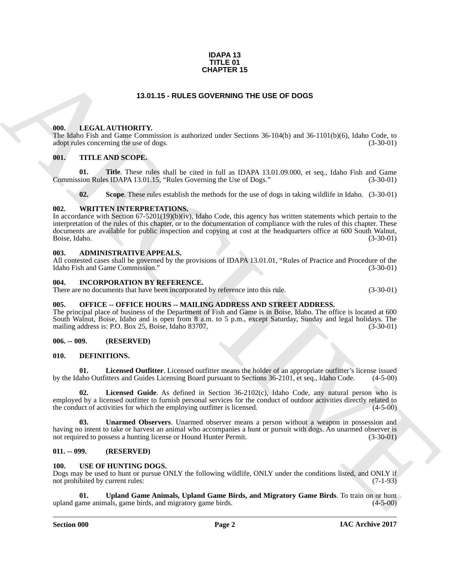#### **IDAPA 13 TITLE 01 CHAPTER 15**

### **13.01.15 - RULES GOVERNING THE USE OF DOGS**

#### <span id="page-1-1"></span><span id="page-1-0"></span>**000. LEGAL AUTHORITY.**

The Idaho Fish and Game Commission is authorized under Sections 36-104(b) and 36-1101(b)(6), Idaho Code, to adopt rules concerning the use of dogs.  $(3-30-01)$ 

#### <span id="page-1-2"></span>**001. TITLE AND SCOPE.**

**01.** Title. These rules shall be cited in full as IDAPA 13.01.09.000, et seq., Idaho Fish and Game sion Rules IDAPA 13.01.15. "Rules Governing the Use of Dogs." (3-30-01) Commission Rules IDAPA 13.01.15, "Rules Governing the Use of Dogs."

**02.** Scope. These rules establish the methods for the use of dogs in taking wildlife in Idaho. (3-30-01)

#### <span id="page-1-3"></span>**002. WRITTEN INTERPRETATIONS.**

**CHAPTER 15**<br> **CHARCHIVENG**<br> **CHARCHIVENG**<br> **CHARCHIVENG**<br> **CHARCHIVENG**<br> **CHARCHIVENG**<br> **CHARCHIVENG**<br> **CHARCHIVENG**<br> **CHARCHIVENG**<br> **CHARCHIVENG**<br> **CHARCHIVENG**<br> **CHARCHIVENG**<br> **CHARCHIVENG**<br> **CHARCHIVENG**<br> **CHARCHIVENG** In accordance with Section 67-5201(19)(b)(iv), Idaho Code, this agency has written statements which pertain to the interpretation of the rules of this chapter, or to the documentation of compliance with the rules of this chapter. These documents are available for public inspection and copying at cost at the headquarters office at 600 South Walnut,<br>Boise, Idaho. (3-30-01) Boise, Idaho. (3-30-01)

#### <span id="page-1-4"></span>**003. ADMINISTRATIVE APPEALS.**

All contested cases shall be governed by the provisions of IDAPA 13.01.01, "Rules of Practice and Procedure of the Idaho Fish and Game Commission." (3-30-01)

#### <span id="page-1-5"></span>**004. INCORPORATION BY REFERENCE.**

There are no documents that have been incorporated by reference into this rule. (3-30-01)

#### <span id="page-1-6"></span>**005. OFFICE -- OFFICE HOURS -- MAILING ADDRESS AND STREET ADDRESS.**

The principal place of business of the Department of Fish and Game is in Boise, Idaho. The office is located at 600 South Walnut, Boise, Idaho and is open from 8 a.m. to 5 p.m., except Saturday, Sunday and legal holidays. The mailing address is: P.O. Box 25, Boise, Idaho 83707. (3-30-01) mailing address is: P.O. Box 25, Boise, Idaho 83707.

#### <span id="page-1-7"></span>**006. -- 009. (RESERVED)**

#### <span id="page-1-11"></span><span id="page-1-8"></span>**010. DEFINITIONS.**

<span id="page-1-13"></span>**01. Licensed Outfitter**. Licensed outfitter means the holder of an appropriate outfitter's license issued by the Idaho Outfitters and Guides Licensing Board pursuant to Sections 36-2101, et seq., Idaho Code. (4-5-00)

<span id="page-1-12"></span>**02. Licensed Guide**. As defined in Section 36-2102(c), Idaho Code, any natural person who is employed by a licensed outfitter to furnish personal services for the conduct of outdoor activities directly related to the conduct of activities for which the employing outfitter is licensed. (4-5-00) the conduct of activities for which the employing outfitter is licensed.

<span id="page-1-14"></span>**03. Unarmed Observers**. Unarmed observer means a person without a weapon in possession and having no intent to take or harvest an animal who accompanies a hunt or pursuit with dogs. An unarmed observer is not required to possess a hunting license or Hound Hunter Permit. (3-30-01) not required to possess a hunting license or Hound Hunter Permit.

#### <span id="page-1-9"></span>**011. -- 099. (RESERVED)**

#### <span id="page-1-15"></span><span id="page-1-10"></span>**100. USE OF HUNTING DOGS.**

Dogs may be used to hunt or pursue ONLY the following wildlife, ONLY under the conditions listed, and ONLY if not prohibited by current rules: (7-1-93) not prohibited by current rules:

<span id="page-1-16"></span>**Upland Game Animals, Upland Game Birds, and Migratory Game Birds**. To train on or hunt hals, game birds, and migratory game birds. upland game animals, game birds, and migratory game birds.

#### **Section 000 Page 2**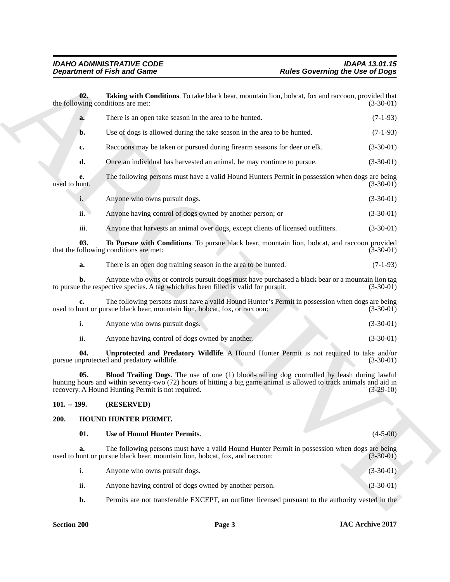<span id="page-2-7"></span><span id="page-2-6"></span><span id="page-2-5"></span><span id="page-2-4"></span><span id="page-2-3"></span><span id="page-2-2"></span><span id="page-2-1"></span><span id="page-2-0"></span>

|                     | <b>Department of Fish and Game</b>                                                                                                                                                                                                                                       | <b>Rules Governing the Use of Dogs</b> |
|---------------------|--------------------------------------------------------------------------------------------------------------------------------------------------------------------------------------------------------------------------------------------------------------------------|----------------------------------------|
| 02.                 | Taking with Conditions. To take black bear, mountain lion, bobcat, fox and raccoon, provided that<br>the following conditions are met:                                                                                                                                   | $(3-30-01)$                            |
| a.                  | There is an open take season in the area to be hunted.                                                                                                                                                                                                                   | $(7-1-93)$                             |
| b.                  | Use of dogs is allowed during the take season in the area to be hunted.                                                                                                                                                                                                  | $(7-1-93)$                             |
| c.                  | Raccoons may be taken or pursued during firearm seasons for deer or elk.                                                                                                                                                                                                 | $(3-30-01)$                            |
| d.                  | Once an individual has harvested an animal, he may continue to pursue.                                                                                                                                                                                                   | $(3-30-01)$                            |
| e.<br>used to hunt. | The following persons must have a valid Hound Hunters Permit in possession when dogs are being                                                                                                                                                                           | $(3-30-01)$                            |
| i.                  | Anyone who owns pursuit dogs.                                                                                                                                                                                                                                            | $(3-30-01)$                            |
| ii.                 | Anyone having control of dogs owned by another person; or                                                                                                                                                                                                                | $(3-30-01)$                            |
| iii.                | Anyone that harvests an animal over dogs, except clients of licensed outfitters.                                                                                                                                                                                         | $(3-30-01)$                            |
| 03.                 | To Pursue with Conditions. To pursue black bear, mountain lion, bobcat, and raccoon provided<br>that the following conditions are met:                                                                                                                                   | $(3-30-01)$                            |
| a.                  | There is an open dog training season in the area to be hunted.                                                                                                                                                                                                           | $(7-1-93)$                             |
| b.                  | Anyone who owns or controls pursuit dogs must have purchased a black bear or a mountain lion tag<br>to pursue the respective species. A tag which has been filled is valid for pursuit.                                                                                  | $(3-30-01)$                            |
| c.                  | The following persons must have a valid Hound Hunter's Permit in possession when dogs are being<br>used to hunt or pursue black bear, mountain lion, bobcat, fox, or raccoon:                                                                                            | $(3-30-01)$                            |
| i.                  | Anyone who owns pursuit dogs.                                                                                                                                                                                                                                            | $(3-30-01)$                            |
| ii.                 | Anyone having control of dogs owned by another.                                                                                                                                                                                                                          | $(3-30-01)$                            |
| 04.                 | Unprotected and Predatory Wildlife. A Hound Hunter Permit is not required to take and/or<br>pursue unprotected and predatory wildlife.                                                                                                                                   | $(3-30-01)$                            |
| 05.                 | Blood Trailing Dogs. The use of one (1) blood-trailing dog controlled by leash during lawful<br>hunting hours and within seventy-two (72) hours of hitting a big game animal is allowed to track animals and aid in<br>recovery. A Hound Hunting Permit is not required. | $(3-29-10)$                            |
| $101. - 199.$       | (RESERVED)                                                                                                                                                                                                                                                               |                                        |
| 200.                | HOUND HUNTER PERMIT.                                                                                                                                                                                                                                                     |                                        |
| 01.                 | <b>Use of Hound Hunter Permits.</b>                                                                                                                                                                                                                                      | $(4-5-00)$                             |
| a.                  | The following persons must have a valid Hound Hunter Permit in possession when dogs are being<br>used to hunt or pursue black bear, mountain lion, bobcat, fox, and raccoon:                                                                                             | $(3-30-01)$                            |
| i.                  | Anyone who owns pursuit dogs.                                                                                                                                                                                                                                            | $(3-30-01)$                            |
| ii.                 | Anyone having control of dogs owned by another person.                                                                                                                                                                                                                   | $(3-30-01)$                            |
| b.                  | Permits are not transferable EXCEPT, an outfitter licensed pursuant to the authority vested in the                                                                                                                                                                       |                                        |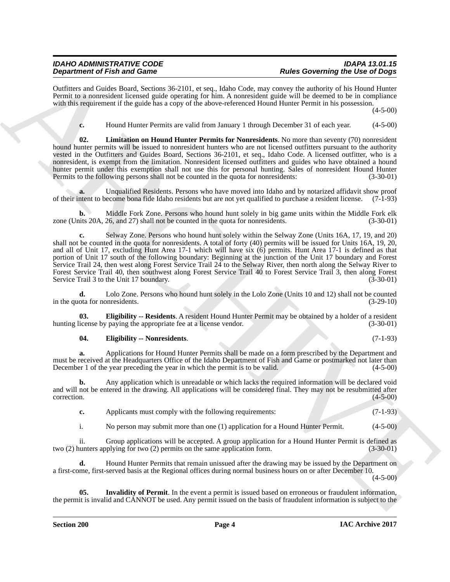# *IDAHO ADMINISTRATIVE CODE IDAPA 13.01.15*

Outfitters and Guides Board, Sections 36-2101, et seq., Idaho Code, may convey the authority of his Hound Hunter Permit to a nonresident licensed guide operating for him. A nonresident guide will be deemed to be in compliance with this requirement if the guide has a copy of the above-referenced Hound Hunter Permit in his possession.

 $(4 - 5 - 00)$ 

<span id="page-3-3"></span>**c.** Hound Hunter Permits are valid from January 1 through December 31 of each year. (4-5-00)

**02. Limitation on Hound Hunter Permits for Nonresidents**. No more than seventy (70) nonresident hound hunter permits will be issued to nonresident hunters who are not licensed outfitters pursuant to the authority vested in the Outfitters and Guides Board, Sections 36-2101, et seq., Idaho Code. A licensed outfitter, who is a nonresident, is exempt from the limitation. Nonresident licensed outfitters and guides who have obtained a hound hunter permit under this exemption shall not use this for personal hunting. Sales of nonresident Hound Hunter<br>Permits to the following persons shall not be counted in the quota for nonresidents: (3-30-01) Permits to the following persons shall not be counted in the quota for nonresidents:

**a.** Unqualified Residents. Persons who have moved into Idaho and by notarized affidavit show proof of their intent to become bona fide Idaho residents but are not yet qualified to purchase a resident license. (7-1-93)

**b.** Middle Fork Zone. Persons who hound hunt solely in big game units within the Middle Fork elk its 20A, 26, and 27) shall not be counted in the quota for nonresidents. (3-30-01) zone (Units 20A, 26, and 27) shall not be counted in the quota for nonresidents.

**Dependent of Find and Content of Find and Content of Find and Content of Find Books are the Content of Find And<br>
Content of Content of Content of Content of Content of Content of Content<br>
Vanish Books are the Content of c.** Selway Zone. Persons who hound hunt solely within the Selway Zone (Units 16A, 17, 19, and 20) shall not be counted in the quota for nonresidents. A total of forty (40) permits will be issued for Units 16A, 19, 20, and all of Unit 17, excluding Hunt Area 17-1 which will have six (6) permits. Hunt Area 17-1 is defined as that portion of Unit 17 south of the following boundary: Beginning at the junction of the Unit 17 boundary and Forest Service Trail 24, then west along Forest Service Trail 24 to the Selway River, then north along the Selway River to Forest Service Trail 40, then southwest along Forest Service Trail 40 to Forest Service Trail 3, then along Forest Service Trail 3 to the Unit 17 boundary. (3-30-01) Service Trail 3 to the Unit 17 boundary.

**d.** Lolo Zone. Persons who hound hunt solely in the Lolo Zone (Units 10 and 12) shall not be counted in the quota for nonresidents. (3-29-10)

**03. Eligibility -- Residents**. A resident Hound Hunter Permit may be obtained by a holder of a resident icense by paying the appropriate fee at a license vendor. (3-30-01) hunting license by paying the appropriate fee at a license vendor.

#### <span id="page-3-1"></span><span id="page-3-0"></span>**04. Eligibility -- Nonresidents**. (7-1-93)

**a.** Applications for Hound Hunter Permits shall be made on a form prescribed by the Department and must be received at the Headquarters Office of the Idaho Department of Fish and Game or postmarked not later than December 1 of the year preceding the year in which the permit is to be valid. (4-5-00)

**b.** Any application which is unreadable or which lacks the required information will be declared void and will not be entered in the drawing. All applications will be considered final. They may not be resubmitted after correction. (4-5-00)

- **c.** Applicants must comply with the following requirements: (7-1-93)
- i. No person may submit more than one (1) application for a Hound Hunter Permit. (4-5-00)

ii. Group applications will be accepted. A group application for a Hound Hunter Permit is defined as unters applying for two (2) permits on the same application form. (3-30-01) two (2) hunters applying for two (2) permits on the same application form.

**d.** Hound Hunter Permits that remain unissued after the drawing may be issued by the Department on a first-come, first-served basis at the Regional offices during normal business hours on or after December 10.

(4-5-00)

<span id="page-3-2"></span>**Invalidity of Permit**. In the event a permit is issued based on erroneous or fraudulent information, the permit is invalid and CANNOT be used. Any permit issued on the basis of fraudulent information is subject to the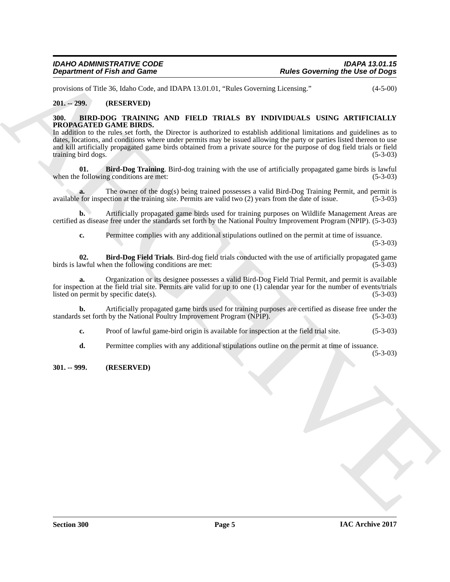provisions of Title 36, Idaho Code, and IDAPA 13.01.01, "Rules Governing Licensing." (4-5-00)

#### <span id="page-4-0"></span>**201. -- 299. (RESERVED)**

#### <span id="page-4-5"></span><span id="page-4-1"></span>**300. BIRD-DOG TRAINING AND FIELD TRIALS BY INDIVIDUALS USING ARTIFICIALLY PROPAGATED GAME BIRDS.**

**Example for the solution of European Control in the USA Concerning the Use of Degree of the Solution of the Solution of the Solution of the Solution of the Solution of The Solution of The Solution of The Solution of The** In addition to the rules set forth, the Director is authorized to establish additional limitations and guidelines as to dates, locations, and conditions where under permits may be issued allowing the party or parties listed thereon to use and kill artificially propagated game birds obtained from a private source for the purpose of dog field trials or field training bird dogs. (5-3-03)

<span id="page-4-4"></span>**01. Bird-Dog Training**. Bird-dog training with the use of artificially propagated game birds is lawful following conditions are met: (5-3-03) when the following conditions are met:

**a.** The owner of the dog(s) being trained possesses a valid Bird-Dog Training Permit, and permit is for inspection at the training site. Permits are valid two (2) years from the date of issue. (5-3-03) available for inspection at the training site. Permits are valid two  $(2)$  years from the date of issue.

**b.** Artificially propagated game birds used for training purposes on Wildlife Management Areas are certified as disease free under the standards set forth by the National Poultry Improvement Program (NPIP). (5-3-03)

<span id="page-4-3"></span>**c.** Permittee complies with any additional stipulations outlined on the permit at time of issuance. (5-3-03)

**02. Bird-Dog Field Trials**. Bird-dog field trials conducted with the use of artificially propagated game birds is lawful when the following conditions are met: (5-3-03)

**a.** Organization or its designee possesses a valid Bird-Dog Field Trial Permit, and permit is available for inspection at the field trial site. Permits are valid for up to one (1) calendar year for the number of events/trials listed on permit by specific date(s). (5-3-03)

**b.** Artificially propagated game birds used for training purposes are certified as disease free under the set forth by the National Poultry Improvement Program (NPIP). (5-3-03) standards set forth by the National Poultry Improvement Program (NPIP).

**c.** Proof of lawful game-bird origin is available for inspection at the field trial site. (5-3-03)

**d.** Permittee complies with any additional stipulations outline on the permit at time of issuance.

(5-3-03)

#### <span id="page-4-2"></span>**301. -- 999. (RESERVED)**